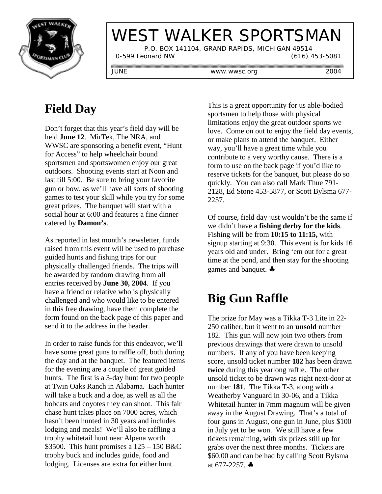

# WEST WALKER SPORTSMAN

 P.O. BOX 141104, GRAND RAPIDS, MICHIGAN 49514 0-599 Leonard NW (616) 453-5081

JUNE www.wwsc.org 2004

# **Field Day**

Don't forget that this year's field day will be held **June 12**. MirTek, The NRA, and WWSC are sponsoring a benefit event, "Hunt for Access" to help wheelchair bound sportsmen and sportswomen enjoy our great outdoors. Shooting events start at Noon and last till 5:00. Be sure to bring your favorite gun or bow, as we'll have all sorts of shooting games to test your skill while you try for some great prizes. The banquet will start with a social hour at 6:00 and features a fine dinner catered by **Damon's**.

As reported in last month's newsletter, funds raised from this event will be used to purchase guided hunts and fishing trips for our physically challenged friends. The trips will be awarded by random drawing from all entries received by **June 30, 2004**. If you have a friend or relative who is physically challenged and who would like to be entered in this free drawing, have them complete the form found on the back page of this paper and send it to the address in the header.

In order to raise funds for this endeavor, we'll have some great guns to raffle off, both during the day and at the banquet. The featured items for the evening are a couple of great guided hunts. The first is a 3-day hunt for two people at Twin Oaks Ranch in Alabama. Each hunter will take a buck and a doe, as well as all the bobcats and coyotes they can shoot. This fair chase hunt takes place on 7000 acres, which hasn't been hunted in 30 years and includes lodging and meals! We'll also be raffling a trophy whitetail hunt near Alpena worth \$3500. This hunt promises a  $125 - 150$  B&C trophy buck and includes guide, food and lodging. Licenses are extra for either hunt.

This is a great opportunity for us able-bodied sportsmen to help those with physical limitations enjoy the great outdoor sports we love. Come on out to enjoy the field day events, or make plans to attend the banquet. Either way, you'll have a great time while you contribute to a very worthy cause. There is a form to use on the back page if you'd like to reserve tickets for the banquet, but please do so quickly. You can also call Mark Thue 791- 2128, Ed Stone 453-5877, or Scott Bylsma 677- 2257.

Of course, field day just wouldn't be the same if we didn't have a **fishing derby for the kids**. Fishing will be from **10:15 to 11:15,** with signup starting at 9:30. This event is for kids 16 years old and under. Bring 'em out for a great time at the pond, and then stay for the shooting games and banquet. ♣

## **Big Gun Raffle**

The prize for May was a Tikka T-3 Lite in 22- 250 caliber, but it went to an **unsold** number 182. This gun will now join two others from previous drawings that were drawn to unsold numbers. If any of you have been keeping score, unsold ticket number **182** has been drawn **twice** during this yearlong raffle. The other unsold ticket to be drawn was right next-door at number **181**. The Tikka T-3, along with a Weatherby Vanguard in 30-06, and a Tikka Whitetail hunter in 7mm magnum will be given away in the August Drawing. That's a total of four guns in August, one gun in June, plus \$100 in July yet to be won. We still have a few tickets remaining, with six prizes still up for grabs over the next three months. Tickets are \$60.00 and can be had by calling Scott Bylsma at  $677 - 2257$ .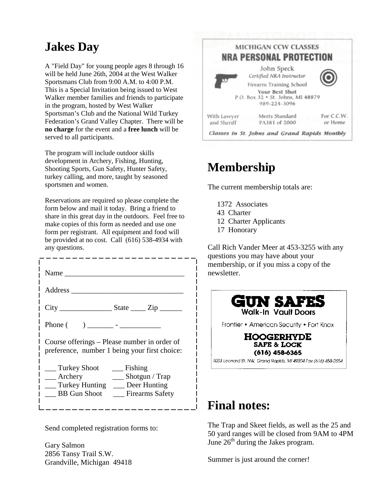#### **Jakes Day**

A "Field Day" for young people ages 8 through 16 will be held June 26th, 2004 at the West Walker Sportsmans Club from 9:00 A.M. to 4:00 P.M. This is a Special Invitation being issued to West Walker member families and friends to participate in the program, hosted by West Walker Sportsman's Club and the National Wild Turkey Federation's Grand Valley Chapter. There will be **no charge** for the event and a **free lunch** will be served to all participants.

The program will include outdoor skills development in Archery, Fishing, Hunting, Shooting Sports, Gun Safety, Hunter Safety, turkey calling, and more, taught by seasoned sportsmen and women.

Reservations are required so please complete the form below and mail it today. Bring a friend to share in this great day in the outdoors. Feel free to make copies of this form as needed and use one form per registrant. All equipment and food will be provided at no cost. Call (616) 538-4934 with any questions.

| Name and the Name of Table        |                                               |
|-----------------------------------|-----------------------------------------------|
|                                   |                                               |
| Phone (                           | Course offerings – Please number in order of  |
|                                   | preference, number 1 being your first choice: |
| Turkey Shoot                      | Fishing                                       |
| __ Archery                        | Shotgun / $Trap$                              |
| __ Turkey Hunting __ Deer Hunting | $\overline{\phantom{a}}$                      |
| <b>BB</b> Gun Shoot               | <b>Exercis</b> Safety                         |

Send completed registration forms to:

Gary Salmon 2856 Tansy Trail S.W. Grandville, Michigan 49418



### **Membership**

The current membership totals are:

- 1372 Associates
- 43 Charter
- 12 Charter Applicants
- 17 Honorary

Call Rich Vander Meer at 453-3255 with any questions you may have about your membership, or if you miss a copy of the newsletter.



#### **Final notes:**

The Trap and Skeet fields, as well as the 25 and 50 yard ranges will be closed from 9AM to 4PM June  $26<sup>th</sup>$  during the Jakes program.

Summer is just around the corner!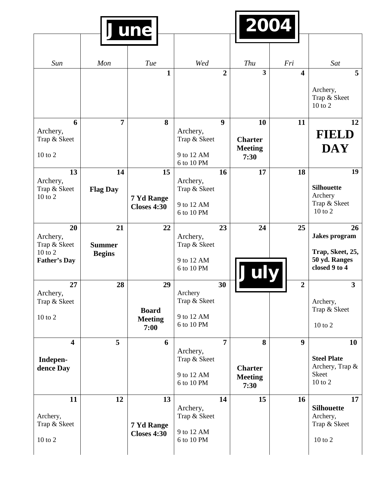|                                     |                 | June                                   |                          |                  | 2004                                     |                  |                                          |
|-------------------------------------|-----------------|----------------------------------------|--------------------------|------------------|------------------------------------------|------------------|------------------------------------------|
|                                     |                 |                                        |                          |                  |                                          |                  |                                          |
| Sun                                 | Mon             | Tue                                    | Wed                      |                  | Thu                                      | Fri              | Sat                                      |
|                                     |                 | 1                                      |                          | $\overline{2}$   | $\overline{\mathbf{3}}$                  | 4                | 5                                        |
|                                     |                 |                                        |                          |                  |                                          |                  | Archery,<br>Trap & Skeet<br>10 to 2      |
| 6                                   | 7               | 8                                      |                          | $\boldsymbol{9}$ | 10                                       | 11               | 12                                       |
| Archery,<br>Trap & Skeet            |                 |                                        | Archery,<br>Trap & Skeet |                  | <b>Charter</b>                           |                  | <b>FIELD</b>                             |
| $10$ to $2$                         |                 |                                        | 9 to 12 AM<br>6 to 10 PM |                  | <b>Meeting</b><br>7:30                   |                  | <b>DAY</b>                               |
| 13                                  | 14              | 15                                     |                          | 16               | 17                                       | 18               | 19                                       |
| Archery,<br>Trap & Skeet            | <b>Flag Day</b> |                                        | Archery,<br>Trap & Skeet |                  |                                          |                  | <b>Silhouette</b>                        |
| $10$ to $2$                         |                 | 7 Yd Range<br><b>Closes 4:30</b>       | 9 to 12 AM<br>6 to 10 PM |                  |                                          |                  | Archery<br>Trap & Skeet<br>10 to 2       |
| 20                                  | 21              | 22                                     |                          | 23               | 24                                       | 25               | 26                                       |
| Archery,<br>Trap & Skeet<br>10 to 2 | <b>Summer</b>   |                                        | Archery,<br>Trap & Skeet |                  |                                          |                  | <b>Jakes</b> program<br>Trap, Skeet, 25, |
| <b>Father's Day</b>                 | <b>Begins</b>   |                                        | 9 to 12 AM<br>6 to 10 PM |                  | July                                     |                  | 50 yd. Ranges<br>closed 9 to 4           |
| 27                                  | 28              | 29                                     |                          | 30               |                                          | $\boldsymbol{2}$ | $\mathbf{3}$                             |
| Archery,<br>Trap & Skeet            |                 |                                        | Archery<br>Trap & Skeet  |                  |                                          |                  | Archery,<br>Trap & Skeet                 |
| $10$ to $2$                         |                 | <b>Board</b><br><b>Meeting</b><br>7:00 | 9 to 12 AM<br>6 to 10 PM |                  |                                          |                  | 10 to 2                                  |
| $\overline{\mathbf{4}}$             | 5               | 6                                      |                          | $\overline{7}$   | 8                                        | 9                | 10                                       |
| Indepen-                            |                 |                                        | Archery,<br>Trap & Skeet |                  |                                          |                  | <b>Steel Plate</b>                       |
| dence Day                           |                 |                                        | 9 to 12 AM<br>6 to 10 PM |                  | <b>Charter</b><br><b>Meeting</b><br>7:30 |                  | Archery, Trap &<br>Skeet<br>$10$ to $2$  |
| 11                                  | 12              | 13                                     |                          | 14               | 15                                       | 16               | 17                                       |
| Archery,                            |                 |                                        | Archery,<br>Trap & Skeet |                  |                                          |                  | <b>Silhouette</b><br>Archery,            |
| Trap & Skeet                        |                 | 7 Yd Range<br><b>Closes 4:30</b>       | 9 to 12 AM               |                  |                                          |                  | Trap & Skeet                             |
| $10$ to $2$                         |                 |                                        | 6 to 10 PM               |                  |                                          |                  | 10 to 2                                  |